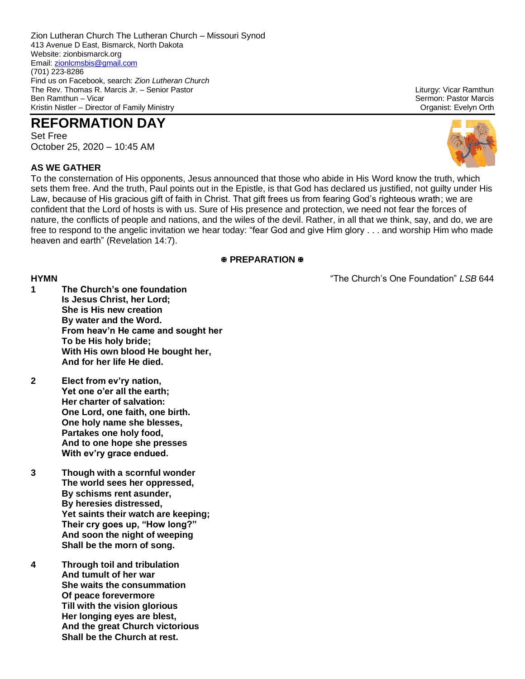Zion Lutheran Church The Lutheran Church – Missouri Synod 413 Avenue D East, Bismarck, North Dakota Website: zionbismarck.org Email[: zionlcmsbis@gmail.com](mailto:zionlcmsbis@gmail.com) (701) 223-8286 Find us on Facebook, search: *Zion Lutheran Church* The Rev. Thomas R. Marcis Jr. – Senior Pastor Liturgy: Vicar Ramthun Ben Ramthun – Vicar Sermon: Pastor Marcis Kristin Nistler – Director of Family Ministry Organist: Evelyn Orth

# **REFORMATION DAY**

Set Free October 25, 2020 – 10:45 AM

# **AS WE GATHER**



To the consternation of His opponents, Jesus announced that those who abide in His Word know the truth, which sets them free. And the truth, Paul points out in the Epistle, is that God has declared us justified, not guilty under His Law, because of His gracious gift of faith in Christ. That gift frees us from fearing God's righteous wrath; we are confident that the Lord of hosts is with us. Sure of His presence and protection, we need not fear the forces of nature, the conflicts of people and nations, and the wiles of the devil. Rather, in all that we think, say, and do, we are free to respond to the angelic invitation we hear today: "fear God and give Him glory . . . and worship Him who made heaven and earth" (Revelation 14:7).

### **PREPARATION**

**HYMN** "The Church's One Foundation" *LSB* 644

- **1 The Church's one foundation Is Jesus Christ, her Lord; She is His new creation By water and the Word. From heav'n He came and sought her To be His holy bride; With His own blood He bought her, And for her life He died.**
- **2 Elect from ev'ry nation, Yet one o'er all the earth; Her charter of salvation: One Lord, one faith, one birth. One holy name she blesses, Partakes one holy food, And to one hope she presses With ev'ry grace endued.**
- **3 Though with a scornful wonder The world sees her oppressed, By schisms rent asunder, By heresies distressed, Yet saints their watch are keeping; Their cry goes up, "How long?" And soon the night of weeping Shall be the morn of song.**
- **4 Through toil and tribulation And tumult of her war She waits the consummation Of peace forevermore Till with the vision glorious Her longing eyes are blest, And the great Church victorious Shall be the Church at rest.**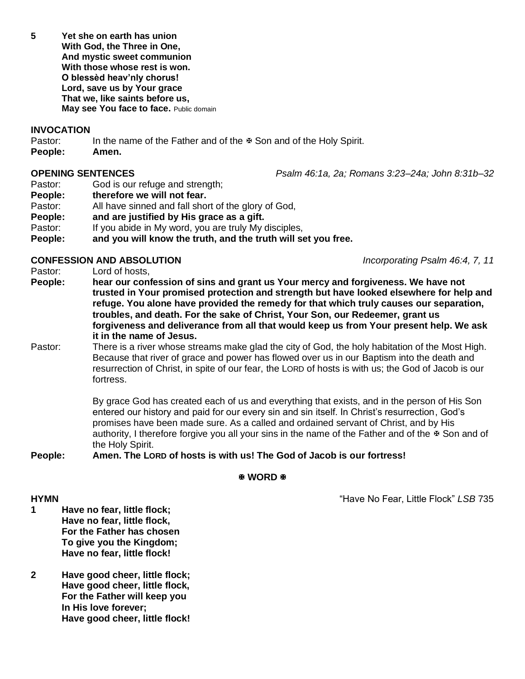**5 Yet she on earth has union With God, the Three in One, And mystic sweet communion With those whose rest is won. O blessèd heav'nly chorus! Lord, save us by Your grace That we, like saints before us, May see You face to face.** Public domain

### **INVOCATION**

Pastor: In the name of the Father and of the  $\overline{x}$  Son and of the Holy Spirit.

**People: Amen.**

**OPENING SENTENCES** *Psalm 46:1a, 2a; Romans 3:23–24a; John 8:31b–32*

- Pastor: God is our refuge and strength;
- **People: therefore we will not fear.**
- Pastor: All have sinned and fall short of the glory of God,
- **People: and are justified by His grace as a gift.**
- Pastor: If you abide in My word, you are truly My disciples,
- **People: and you will know the truth, and the truth will set you free.**

### **CONFESSION AND ABSOLUTION** *Incorporating Psalm 46:4, 7, 11*

- Pastor: Lord of hosts,
- **People: hear our confession of sins and grant us Your mercy and forgiveness. We have not trusted in Your promised protection and strength but have looked elsewhere for help and refuge. You alone have provided the remedy for that which truly causes our separation, troubles, and death. For the sake of Christ, Your Son, our Redeemer, grant us forgiveness and deliverance from all that would keep us from Your present help. We ask it in the name of Jesus.**
- Pastor: There is a river whose streams make glad the city of God, the holy habitation of the Most High. Because that river of grace and power has flowed over us in our Baptism into the death and resurrection of Christ, in spite of our fear, the LORD of hosts is with us; the God of Jacob is our fortress.

By grace God has created each of us and everything that exists, and in the person of His Son entered our history and paid for our every sin and sin itself. In Christ's resurrection, God's promises have been made sure. As a called and ordained servant of Christ, and by His authority, I therefore forgive you all your sins in the name of the Father and of the  $\mathbb F$  Son and of the Holy Spirit.

**People: Amen. The LORD of hosts is with us! The God of Jacob is our fortress!**

### **WORD**

**HYMN** "Have No Fear, Little Flock" *LSB* 735

- **1 Have no fear, little flock; Have no fear, little flock, For the Father has chosen To give you the Kingdom; Have no fear, little flock!**
- **2 Have good cheer, little flock; Have good cheer, little flock, For the Father will keep you In His love forever; Have good cheer, little flock!**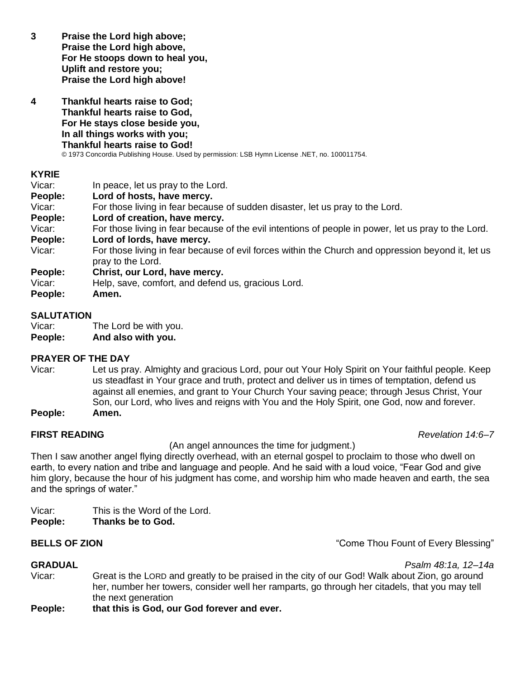- **3 Praise the Lord high above; Praise the Lord high above, For He stoops down to heal you, Uplift and restore you; Praise the Lord high above!**
- **4 Thankful hearts raise to God; Thankful hearts raise to God, For He stays close beside you, In all things works with you; Thankful hearts raise to God!** © 1973 Concordia Publishing House. Used by permission: LSB Hymn License .NET, no. 100011754.

# **KYRIE**

- Vicar: In peace, let us pray to the Lord.
- **People: Lord of hosts, have mercy.**
- Vicar: For those living in fear because of sudden disaster, let us pray to the Lord.
- **People: Lord of creation, have mercy.**
- Vicar: For those living in fear because of the evil intentions of people in power, let us pray to the Lord. **People: Lord of lords, have mercy.**
- Vicar: For those living in fear because of evil forces within the Church and oppression beyond it, let us pray to the Lord.
- **People: Christ, our Lord, have mercy.**
- Vicar: Help, save, comfort, and defend us, gracious Lord.
- **People: Amen.**

# **SALUTATION**

- Vicar: The Lord be with you.
- **People: And also with you.**

# **PRAYER OF THE DAY**

- Vicar: Let us pray. Almighty and gracious Lord, pour out Your Holy Spirit on Your faithful people. Keep us steadfast in Your grace and truth, protect and deliver us in times of temptation, defend us against all enemies, and grant to Your Church Your saving peace; through Jesus Christ, Your Son, our Lord, who lives and reigns with You and the Holy Spirit, one God, now and forever.
- **People: Amen.**

# **FIRST READING** *Revelation 14:6–7*

(An angel announces the time for judgment.) Then I saw another angel flying directly overhead, with an eternal gospel to proclaim to those who dwell on

earth, to every nation and tribe and language and people. And he said with a loud voice, "Fear God and give him glory, because the hour of his judgment has come, and worship him who made heaven and earth, the sea and the springs of water."

- Vicar: This is the Word of the Lord.
- **People: Thanks be to God.**

**BELLS OF ZION BULLS OF ZION Example 20 ATTLE 2012 12:30 THE COME The SECTION "Come Thou Fount of Every Blessing"** 

- **GRADUAL** *Psalm 48:1a, 12–14a* Vicar: Great is the LORD and greatly to be praised in the city of our God! Walk about Zion, go around her, number her towers, consider well her ramparts, go through her citadels, that you may tell the next generation
- **People: that this is God, our God forever and ever.**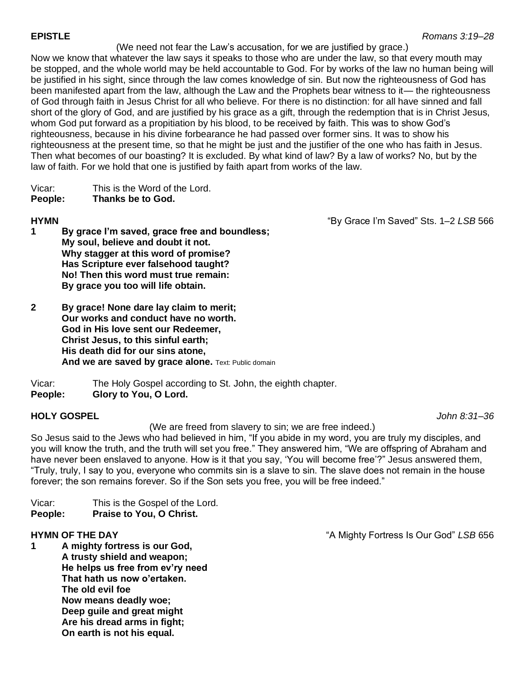(We need not fear the Law's accusation, for we are justified by grace.) Now we know that whatever the law says it speaks to those who are under the law, so that every mouth may be stopped, and the whole world may be held accountable to God. For by works of the law no human being will be justified in his sight, since through the law comes knowledge of sin. But now the righteousness of God has been manifested apart from the law, although the Law and the Prophets bear witness to it— the righteousness of God through faith in Jesus Christ for all who believe. For there is no distinction: for all have sinned and fall short of the glory of God, and are justified by his grace as a gift, through the redemption that is in Christ Jesus, whom God put forward as a propitiation by his blood, to be received by faith. This was to show God's righteousness, because in his divine forbearance he had passed over former sins. It was to show his righteousness at the present time, so that he might be just and the justifier of the one who has faith in Jesus. Then what becomes of our boasting? It is excluded. By what kind of law? By a law of works? No, but by the law of faith. For we hold that one is justified by faith apart from works of the law.

| Vicar:  | This is the Word of the Lord. |
|---------|-------------------------------|
| People: | Thanks be to God.             |

- **1 By grace I'm saved, grace free and boundless; My soul, believe and doubt it not. Why stagger at this word of promise? Has Scripture ever falsehood taught? No! Then this word must true remain: By grace you too will life obtain.**
- **2 By grace! None dare lay claim to merit; Our works and conduct have no worth. God in His love sent our Redeemer, Christ Jesus, to this sinful earth; His death did for our sins atone,** And we are saved by grace alone. Text: Public domain

# Vicar: The Holy Gospel according to St. John, the eighth chapter. **People: Glory to You, O Lord.**

# **HOLY GOSPEL** *John 8:31–36*

(We are freed from slavery to sin; we are free indeed.)

So Jesus said to the Jews who had believed in him, "If you abide in my word, you are truly my disciples, and you will know the truth, and the truth will set you free." They answered him, "We are offspring of Abraham and have never been enslaved to anyone. How is it that you say, 'You will become free'?" Jesus answered them, "Truly, truly, I say to you, everyone who commits sin is a slave to sin. The slave does not remain in the house forever; the son remains forever. So if the Son sets you free, you will be free indeed."

Vicar: This is the Gospel of the Lord. **People: Praise to You, O Christ.**

**1 A mighty fortress is our God, A trusty shield and weapon; He helps us free from ev'ry need That hath us now o'ertaken. The old evil foe Now means deadly woe; Deep guile and great might Are his dread arms in fight; On earth is not his equal.**

**HYMN** "By Grace I'm Saved" Sts. 1–2 *LSB* 566

**HYMN OF THE DAY CONSULTER A MIGHT CONSULTER THE DAY "A Mighty Fortress Is Our God"** LSB 656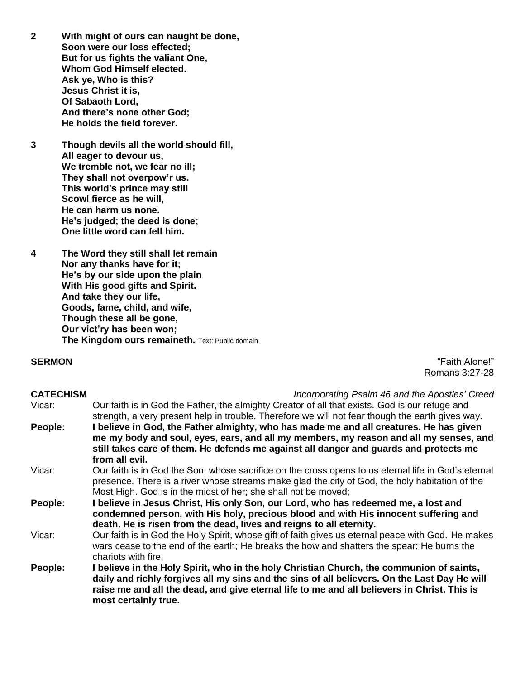- **2 With might of ours can naught be done, Soon were our loss effected; But for us fights the valiant One, Whom God Himself elected. Ask ye, Who is this? Jesus Christ it is, Of Sabaoth Lord, And there's none other God; He holds the field forever.**
- **3 Though devils all the world should fill, All eager to devour us, We tremble not, we fear no ill; They shall not overpow'r us. This world's prince may still Scowl fierce as he will, He can harm us none. He's judged; the deed is done; One little word can fell him.**
- **4 The Word they still shall let remain Nor any thanks have for it; He's by our side upon the plain With His good gifts and Spirit. And take they our life, Goods, fame, child, and wife, Though these all be gone, Our vict'ry has been won; The Kingdom ours remaineth.** Text: Public domain

**SERMON** "Faith Alone!" Romans 3:27-28

| <b>CATECHISM</b> | Incorporating Psalm 46 and the Apostles' Creed                                                                                                                                                                                                                                                                  |
|------------------|-----------------------------------------------------------------------------------------------------------------------------------------------------------------------------------------------------------------------------------------------------------------------------------------------------------------|
| Vicar:           | Our faith is in God the Father, the almighty Creator of all that exists. God is our refuge and<br>strength, a very present help in trouble. Therefore we will not fear though the earth gives way.                                                                                                              |
| People:          | I believe in God, the Father almighty, who has made me and all creatures. He has given                                                                                                                                                                                                                          |
|                  | me my body and soul, eyes, ears, and all my members, my reason and all my senses, and                                                                                                                                                                                                                           |
|                  | still takes care of them. He defends me against all danger and guards and protects me                                                                                                                                                                                                                           |
|                  | from all evil.                                                                                                                                                                                                                                                                                                  |
| Vicar:           | Our faith is in God the Son, whose sacrifice on the cross opens to us eternal life in God's eternal<br>presence. There is a river whose streams make glad the city of God, the holy habitation of the                                                                                                           |
|                  | Most High. God is in the midst of her; she shall not be moved;                                                                                                                                                                                                                                                  |
| People:          | I believe in Jesus Christ, His only Son, our Lord, who has redeemed me, a lost and                                                                                                                                                                                                                              |
|                  | condemned person, with His holy, precious blood and with His innocent suffering and<br>death. He is risen from the dead, lives and reigns to all eternity.                                                                                                                                                      |
| Vicar:           | Our faith is in God the Holy Spirit, whose gift of faith gives us eternal peace with God. He makes                                                                                                                                                                                                              |
|                  | wars cease to the end of the earth; He breaks the bow and shatters the spear; He burns the<br>chariots with fire.                                                                                                                                                                                               |
| People:          | I believe in the Holy Spirit, who in the holy Christian Church, the communion of saints,<br>daily and richly forgives all my sins and the sins of all believers. On the Last Day He will<br>raise me and all the dead, and give eternal life to me and all believers in Christ. This is<br>most certainly true. |
|                  |                                                                                                                                                                                                                                                                                                                 |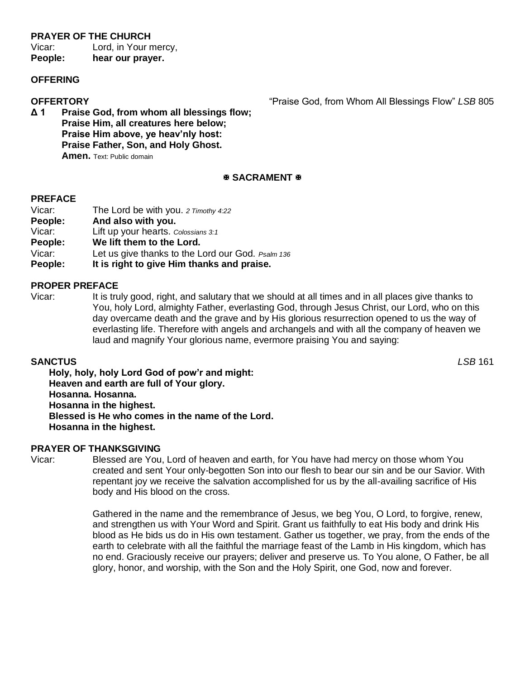# **PRAYER OF THE CHURCH**

Vicar: Lord, in Your mercy, **People: hear our prayer.**

# **OFFERING**

**Δ 1 Praise God, from whom all blessings flow; Praise Him, all creatures here below; Praise Him above, ye heav'nly host: Praise Father, Son, and Holy Ghost. Amen.** Text: Public domain

# **SACRAMENT &**

### **PREFACE**

- Vicar: The Lord be with you. *2 Timothy 4:22*
- **People: And also with you.**<br>Vicar: **Lift up your hearts.** c
- Lift up your hearts. *Colossians 3:1*
- **People: We lift them to the Lord.**
- Vicar: Let us give thanks to the Lord our God. *Psalm 136*
- **People: It is right to give Him thanks and praise.**

# **PROPER PREFACE**

Vicar: It is truly good, right, and salutary that we should at all times and in all places give thanks to You, holy Lord, almighty Father, everlasting God, through Jesus Christ, our Lord, who on this day overcame death and the grave and by His glorious resurrection opened to us the way of everlasting life. Therefore with angels and archangels and with all the company of heaven we laud and magnify Your glorious name, evermore praising You and saying:

# **SANCTUS** *LSB* 161

**Holy, holy, holy Lord God of pow'r and might: Heaven and earth are full of Your glory. Hosanna. Hosanna. Hosanna in the highest. Blessed is He who comes in the name of the Lord. Hosanna in the highest.**

# **PRAYER OF THANKSGIVING**

Vicar: Blessed are You, Lord of heaven and earth, for You have had mercy on those whom You created and sent Your only-begotten Son into our flesh to bear our sin and be our Savior. With repentant joy we receive the salvation accomplished for us by the all-availing sacrifice of His body and His blood on the cross.

> Gathered in the name and the remembrance of Jesus, we beg You, O Lord, to forgive, renew, and strengthen us with Your Word and Spirit. Grant us faithfully to eat His body and drink His blood as He bids us do in His own testament. Gather us together, we pray, from the ends of the earth to celebrate with all the faithful the marriage feast of the Lamb in His kingdom, which has no end. Graciously receive our prayers; deliver and preserve us. To You alone, O Father, be all glory, honor, and worship, with the Son and the Holy Spirit, one God, now and forever.

**OFFERTORY** "Praise God, from Whom All Blessings Flow" *LSB* 805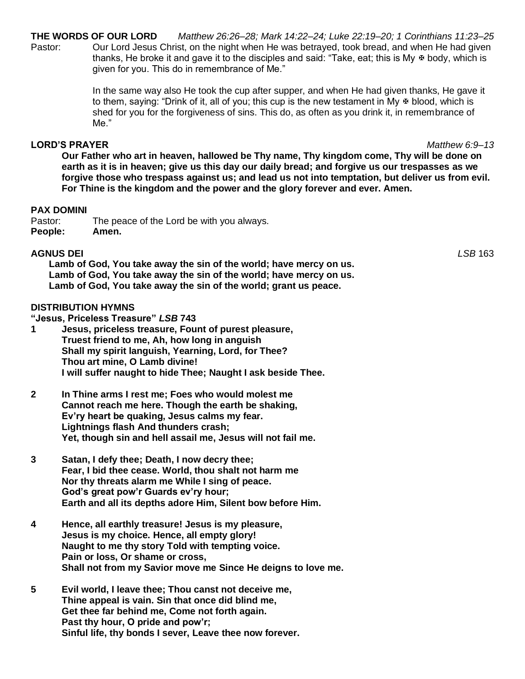**THE WORDS OF OUR LORD** *Matthew 26:26–28; Mark 14:22–24; Luke 22:19–20; 1 Corinthians 11:23–25* Pastor: Our Lord Jesus Christ, on the night when He was betrayed, took bread, and when He had given thanks, He broke it and gave it to the disciples and said: "Take, eat; this is My  $\ast$  body, which is given for you. This do in remembrance of Me."

> In the same way also He took the cup after supper, and when He had given thanks, He gave it to them, saying: "Drink of it, all of you; this cup is the new testament in My  $\ast$  blood, which is shed for you for the forgiveness of sins. This do, as often as you drink it, in remembrance of Me."

# **LORD'S PRAYER** *Matthew 6:9–13*

**Our Father who art in heaven, hallowed be Thy name, Thy kingdom come, Thy will be done on earth as it is in heaven; give us this day our daily bread; and forgive us our trespasses as we forgive those who trespass against us; and lead us not into temptation, but deliver us from evil. For Thine is the kingdom and the power and the glory forever and ever. Amen.**

# **PAX DOMINI**

Pastor: The peace of the Lord be with you always. **People: Amen.**

# **AGNUS DEI** *LSB* 163

**Lamb of God, You take away the sin of the world; have mercy on us. Lamb of God, You take away the sin of the world; have mercy on us. Lamb of God, You take away the sin of the world; grant us peace.**

# **DISTRIBUTION HYMNS**

**"Jesus, Priceless Treasure"** *LSB* **743**

- **1 Jesus, priceless treasure, Fount of purest pleasure, Truest friend to me, Ah, how long in anguish Shall my spirit languish, Yearning, Lord, for Thee? Thou art mine, O Lamb divine! I will suffer naught to hide Thee; Naught I ask beside Thee.**
- **2 In Thine arms I rest me; Foes who would molest me Cannot reach me here. Though the earth be shaking, Ev'ry heart be quaking, Jesus calms my fear. Lightnings flash And thunders crash; Yet, though sin and hell assail me, Jesus will not fail me.**
- **3 Satan, I defy thee; Death, I now decry thee; Fear, I bid thee cease. World, thou shalt not harm me Nor thy threats alarm me While I sing of peace. God's great pow'r Guards ev'ry hour; Earth and all its depths adore Him, Silent bow before Him.**
- **4 Hence, all earthly treasure! Jesus is my pleasure, Jesus is my choice. Hence, all empty glory! Naught to me thy story Told with tempting voice. Pain or loss, Or shame or cross, Shall not from my Savior move me Since He deigns to love me.**
- **5 Evil world, I leave thee; Thou canst not deceive me, Thine appeal is vain. Sin that once did blind me, Get thee far behind me, Come not forth again. Past thy hour, O pride and pow'r; Sinful life, thy bonds I sever, Leave thee now forever.**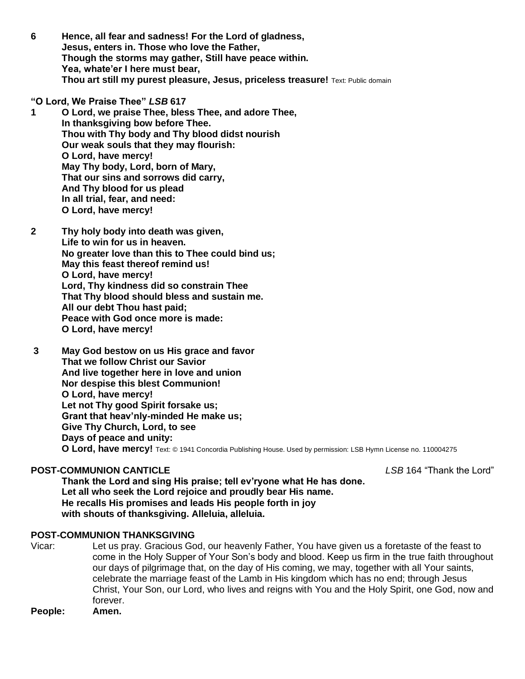**6 Hence, all fear and sadness! For the Lord of gladness, Jesus, enters in. Those who love the Father, Though the storms may gather, Still have peace within. Yea, whate'er I here must bear, Thou art still my purest pleasure, Jesus, priceless treasure!** Text: Public domain

**"O Lord, We Praise Thee"** *LSB* **617** 

- **1 O Lord, we praise Thee, bless Thee, and adore Thee, In thanksgiving bow before Thee. Thou with Thy body and Thy blood didst nourish Our weak souls that they may flourish: O Lord, have mercy! May Thy body, Lord, born of Mary, That our sins and sorrows did carry, And Thy blood for us plead In all trial, fear, and need: O Lord, have mercy!**
- **2 Thy holy body into death was given, Life to win for us in heaven. No greater love than this to Thee could bind us; May this feast thereof remind us! O Lord, have mercy! Lord, Thy kindness did so constrain Thee That Thy blood should bless and sustain me. All our debt Thou hast paid; Peace with God once more is made: O Lord, have mercy!**
- **3 May God bestow on us His grace and favor That we follow Christ our Savior And live together here in love and union Nor despise this blest Communion! O Lord, have mercy! Let not Thy good Spirit forsake us; Grant that heav'nly-minded He make us; Give Thy Church, Lord, to see Days of peace and unity: O Lord, have mercy!** Text: © 1941 Concordia Publishing House. Used by permission: LSB Hymn License no. 110004275

# **POST-COMMUNION CANTICLE** *LSB* 164 "Thank the Lord"

**Thank the Lord and sing His praise; tell ev'ryone what He has done. Let all who seek the Lord rejoice and proudly bear His name. He recalls His promises and leads His people forth in joy with shouts of thanksgiving. Alleluia, alleluia.**

# **POST-COMMUNION THANKSGIVING**

Vicar: Let us pray. Gracious God, our heavenly Father, You have given us a foretaste of the feast to come in the Holy Supper of Your Son's body and blood. Keep us firm in the true faith throughout our days of pilgrimage that, on the day of His coming, we may, together with all Your saints, celebrate the marriage feast of the Lamb in His kingdom which has no end; through Jesus Christ, Your Son, our Lord, who lives and reigns with You and the Holy Spirit, one God, now and forever.

**People: Amen.**